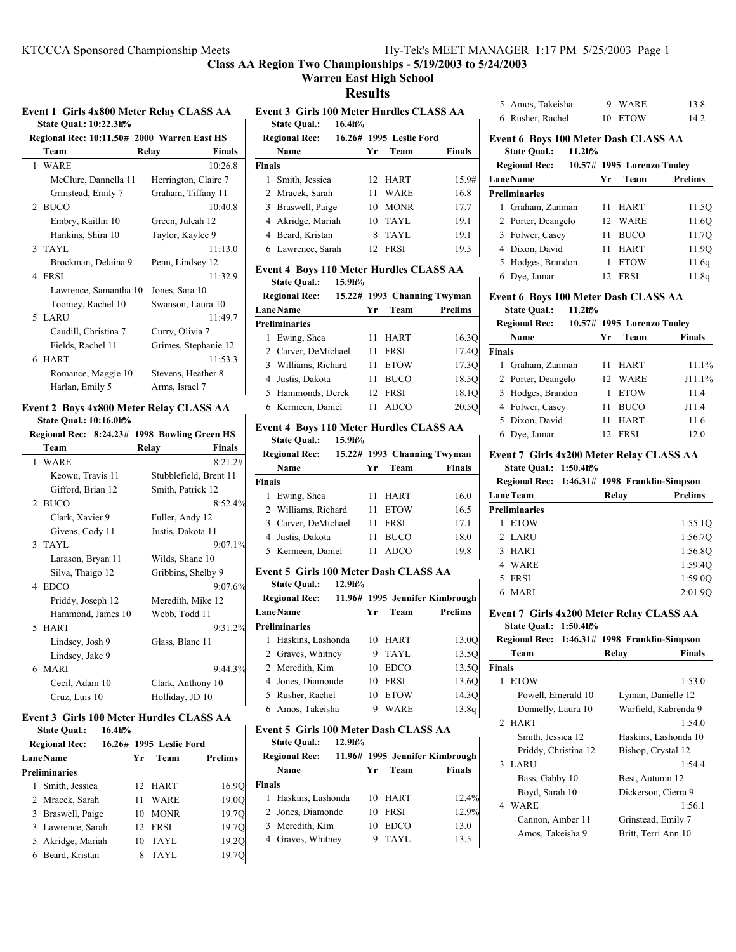## **Warren East High School**

**Results**

| <b>Event 1 Girls 4x800 Meter Relay CLASS AA</b> |                               |  |  |
|-------------------------------------------------|-------------------------------|--|--|
|                                                 | <b>State Qual.: 10:22.3h%</b> |  |  |

| Regional Rec: 10:11.50# 2000 Warren East HS |                        |  |  |  |
|---------------------------------------------|------------------------|--|--|--|
| Team                                        | <b>Finals</b><br>Relav |  |  |  |
| 1 WARE                                      | 10:26.8                |  |  |  |
| McClure, Dannella 11                        | Herrington, Claire 7   |  |  |  |
| Grinstead, Emily 7                          | Graham, Tiffany 11     |  |  |  |
| 2 BUCO                                      | 10:40.8                |  |  |  |
| Embry, Kaitlin 10                           | Green, Juleah 12       |  |  |  |
| Hankins, Shira 10                           | Taylor, Kaylee 9       |  |  |  |
| 3 TAYL                                      | 11:13.0                |  |  |  |
| Brockman, Delaina 9                         | Penn, Lindsey 12       |  |  |  |
| 4 FRSI                                      | 11:32.9                |  |  |  |
| Lawrence, Samantha 10                       | Jones, Sara 10         |  |  |  |
| Toomey, Rachel 10                           | Swanson, Laura 10      |  |  |  |
| 5 LARU                                      | 11:49.7                |  |  |  |
| Caudill, Christina 7                        | Curry, Olivia 7        |  |  |  |
| Fields, Rachel 11                           | Grimes, Stephanie 12   |  |  |  |
| 6 HART                                      | 11:53.3                |  |  |  |
| Romance, Maggie 10                          | Stevens, Heather 8     |  |  |  |
| Harlan, Emily 5                             | Arms, Israel 7         |  |  |  |

#### **Event 2 Boys 4x800 Meter Relay CLASS AA State Qual.: 10:16.0h%**

| <b>State Qual.: 10:16.0h%</b> |  |  |  |  |
|-------------------------------|--|--|--|--|
|-------------------------------|--|--|--|--|

|                   | Regional Rec: 8:24.23# 1998 Bowling Green HS |
|-------------------|----------------------------------------------|
| Team              | Relay<br><b>Finals</b>                       |
| 1 WARE            | 8:21.2#                                      |
| Keown, Travis 11  | Stubblefield, Brent 11                       |
| Gifford, Brian 12 | Smith, Patrick 12                            |
| 2 BUCO            | 8:52.4%                                      |
| Clark, Xavier 9   | Fuller, Andy 12                              |
| Givens, Cody 11   | Justis, Dakota 11                            |
| 3 TAYL            | 9:07.1%                                      |
| Larason, Bryan 11 | Wilds, Shane 10                              |
| Silva, Thaigo 12  | Gribbins, Shelby 9                           |
| 4 EDCO            | 9:07.6%                                      |
| Priddy, Joseph 12 | Meredith, Mike 12                            |
| Hammond, James 10 | Webb, Todd 11                                |
| 5 HART            | 9:31.2%                                      |
| Lindsey, Josh 9   | Glass, Blane 11                              |
| Lindsey, Jake 9   |                                              |
| 6 MARI            | 9:44.3%                                      |
| Cecil, Adam 10    | Clark, Anthony 10                            |
| Cruz, Luis 10     | Holliday, JD 10                              |

#### **Event 3 Girls 100 Meter Hurdles CLASS AA State Qual.: 16.4h%**

| <b>Regional Rec:</b> |                 | 16.26# 1995 Leslie Ford |                |
|----------------------|-----------------|-------------------------|----------------|
| <b>LaneName</b>      | Уr              | Team                    | <b>Prelims</b> |
| <b>Preliminaries</b> |                 |                         |                |
| Smith, Jessica       | 12 <sub>1</sub> | HART                    | 16.90          |
| 2 Mracek, Sarah      | 11              | <b>WARE</b>             | 19.0O          |
| 3 Braswell, Paige    | 10              | <b>MONR</b>             | 19.7O          |
| 3 Lawrence, Sarah    | 12              | <b>FRSI</b>             | 19.7Q          |
| 5 Akridge, Mariah    | 10              | TAYL                    | 19.2O          |
| 6 Beard, Kristan     |                 | TAYL                    | 19.7           |

|               | Event 3 Girls 100 Meter Hurdles CLASS AA |  |    |         |               |  |
|---------------|------------------------------------------|--|----|---------|---------------|--|
|               | State Qual.: 16.4h%                      |  |    |         |               |  |
|               | Regional Rec: 16.26# 1995 Leslie Ford    |  |    |         |               |  |
|               | Name                                     |  |    | Yr Team | <b>Finals</b> |  |
| <b>Finals</b> |                                          |  |    |         |               |  |
|               | 1 Smith, Jessica                         |  |    | 12 HART | 15.9#         |  |
|               | 2 Mracek, Sarah                          |  | 11 | WARE    | 16.8          |  |

| 3 Braswell, Paige | 10 MONR   | 17.7 |
|-------------------|-----------|------|
| 4 Akridge, Mariah | $10$ TAYL | 19.1 |
| 4 Beard, Kristan  | 8 TAYL    | 19.1 |
| 6 Lawrence, Sarah | 12 FRSI   | 19.5 |

## **Event 4 Boys 110 Meter Hurdles CLASS AA**

**State Qual.: 15.9h%**

| <b>Regional Rec:</b> |     |             | 15.22# 1993 Channing Twyman |
|----------------------|-----|-------------|-----------------------------|
| <b>LaneName</b>      | Уr  | Team        | Prelims                     |
| <b>Preliminaries</b> |     |             |                             |
| 1 Ewing, Shea        | 11  | <b>HART</b> | 16.30                       |
| 2 Carver, DeMichael  | 11  | <b>FRSI</b> | 17.4Q                       |
| 3 Williams, Richard  | 11  | <b>ETOW</b> | 17.3O                       |
| 4 Justis, Dakota     | 11  | <b>BUCO</b> | 18.5O                       |
| 5 Hammonds, Derek    | 12. | FRSI        | 18.1Q                       |
| 6 Kermeen, Daniel    |     | <b>ADCO</b> | 20.5O                       |

### **Event 4 Boys 110 Meter Hurdles CLASS AA**

**State Qual.: 15.9h%**

|               | <b>Regional Rec:</b> |    |             | 15.22# 1993 Channing Twyman |
|---------------|----------------------|----|-------------|-----------------------------|
|               | Name                 | Yг | Team        | <b>Finals</b>               |
| <b>Finals</b> |                      |    |             |                             |
|               | 1 Ewing, Shea        | 11 | HART        | 16.0                        |
|               | 2 Williams, Richard  | 11 | <b>ETOW</b> | 16.5                        |
|               | 3 Carver, DeMichael  | 11 | <b>FRSI</b> | 17.1                        |
|               | 4 Justis, Dakota     | 11 | <b>BUCO</b> | 18.0                        |
|               | 5 Kermeen, Daniel    | 11 | ADCO        | 19.8                        |

### **Event 5 Girls 100 Meter Dash CLASS AA**

**State Qual.: 12.9h%**

|                 | <b>Regional Rec:</b> |    |             | 11.96# 1995 Jennifer Kimbrough |
|-----------------|----------------------|----|-------------|--------------------------------|
| <b>LaneName</b> |                      | Yr | Team        | Prelims                        |
|                 | <b>Preliminaries</b> |    |             |                                |
|                 | 1 Haskins, Lashonda  | 10 | <b>HART</b> | 13.0O                          |
|                 | 2 Graves, Whitney    | 9  | TAYL        | 13.5O                          |
|                 | 2 Meredith, Kim      | 10 | <b>EDCO</b> | 13.5O                          |
|                 | 4 Jones, Diamonde    | 10 | <b>FRSI</b> | 13.6O                          |
|                 | 5 Rusher, Rachel     | 10 | <b>ETOW</b> | 14.3O                          |
|                 | 6 Amos, Takeisha     | 9  | WARE        | 13.8q                          |

#### **Event 5 Girls 100 Meter Dash CLASS AA**

**State Qual.: 12.9h%**

| <b>Regional Rec:</b> |     |             | 11.96# 1995 Jennifer Kimbrough |
|----------------------|-----|-------------|--------------------------------|
| Name                 | Уr  | Team        | <b>Finals</b>                  |
| <b>Finals</b>        |     |             |                                |
| 1 Haskins, Lashonda  | 10. | HART        | 12.4%                          |
| 2 Jones, Diamonde    | 10  | <b>FRSI</b> | 12.9%                          |
| 3 Meredith, Kim      | 10  | <b>EDCO</b> | 13.0                           |
| 4 Graves, Whitney    | 9   | TAYL        | 13.5                           |
|                      |     |             |                                |

| 5 Amos, Takeisha | 9 WARE  | 13.8 |
|------------------|---------|------|
| 6 Rusher, Rachel | 10 ETOW | 14.2 |

## **Event 6 Boys 100 Meter Dash CLASS AA State Qual.: 11.2h%**

| <b>Regional Rec:</b> |                 | 10.57# 1995 Lorenzo Toolev |                |
|----------------------|-----------------|----------------------------|----------------|
| <b>LaneName</b>      | Yr              | Team                       | <b>Prelims</b> |
| Preliminaries        |                 |                            |                |
| 1 Graham, Zanman     | 11              | HART                       | 11.5Q          |
| 2 Porter, Deangelo   | 12 <sub>1</sub> | WARE                       | 11.6O          |
| 3 Folwer, Casey      | 11              | <b>BUCO</b>                | 11.7O          |
| 4 Dixon, David       | 11              | <b>HART</b>                | 11.9O          |
| 5 Hodges, Brandon    |                 | <b>ETOW</b>                | 11.6q          |
| 6 Dye, Jamar         |                 | FRSI                       | 11.8g          |

### **Event 6 Boys 100 Meter Dash CLASS AA State Qual.: 11.2h%**

|               | <b>Regional Rec:</b> |    | 10.57# 1995 Lorenzo Toolev |               |
|---------------|----------------------|----|----------------------------|---------------|
|               | Name                 | Уr | Team                       | <b>Finals</b> |
| <b>Finals</b> |                      |    |                            |               |
| 1.            | Graham, Zanman       | 11 | <b>HART</b>                | 11.1%         |
|               | 2 Porter, Deangelo   | 12 | WARE                       | J11.1%        |
|               | 3 Hodges, Brandon    |    | <b>ETOW</b>                | 11.4          |
|               | 4 Folwer, Casey      | 11 | <b>BUCO</b>                | J11.4         |
|               | 5 Dixon, David       | 11 | <b>HART</b>                | 11.6          |
| 6             | Dye, Jamar           | 12 | <b>FRSI</b>                | 12.0          |

### **Event 7 Girls 4x200 Meter Relay CLASS AA State Qual.: 1:50.4h%**

 $\mathbf{I}$ 

|                      | Regional Rec: 1:46.31# 1998 Franklin-Simpson |                |
|----------------------|----------------------------------------------|----------------|
| <b>LaneTeam</b>      | Relav                                        | <b>Prelims</b> |
| <b>Preliminaries</b> |                                              |                |
| <b>ETOW</b>          |                                              | 1:55.1Q        |
| 2 LARU               |                                              | 1:56.7Q        |
| <b>HART</b>          |                                              | 1:56.80        |
| 4 WARE               |                                              | 1:59.4Q        |
| 5 FRSI               |                                              | 1:59.0Q        |
| MARI                 |                                              | 2:01.90        |

#### **Event 7 Girls 4x200 Meter Relay CLASS AA State Qual.: 1:50.4h%**

|               | 5.000                |                                              |
|---------------|----------------------|----------------------------------------------|
|               |                      | Regional Rec: 1:46.31# 1998 Franklin-Simpson |
|               | Team                 | Relay<br>Finals                              |
| <b>Finals</b> |                      |                                              |
|               | 1 ETOW               | 1:53.0                                       |
|               | Powell, Emerald 10   | Lyman, Danielle 12                           |
|               | Donnelly, Laura 10   | Warfield, Kabrenda 9                         |
|               | 2 HART               | 1:54.0                                       |
|               | Smith, Jessica 12    | Haskins, Lashonda 10                         |
|               | Priddy, Christina 12 | Bishop, Crystal 12                           |
|               | 3 LARU               | 1:54.4                                       |
|               | Bass, Gabby 10       | Best, Autumn 12                              |
|               | Boyd, Sarah 10       | Dickerson, Cierra 9                          |
|               | 4 WARE               | 1:56.1                                       |
|               | Cannon, Amber 11     | Grinstead, Emily 7                           |
|               | Amos, Takeisha 9     | Britt, Terri Ann 10                          |
|               |                      |                                              |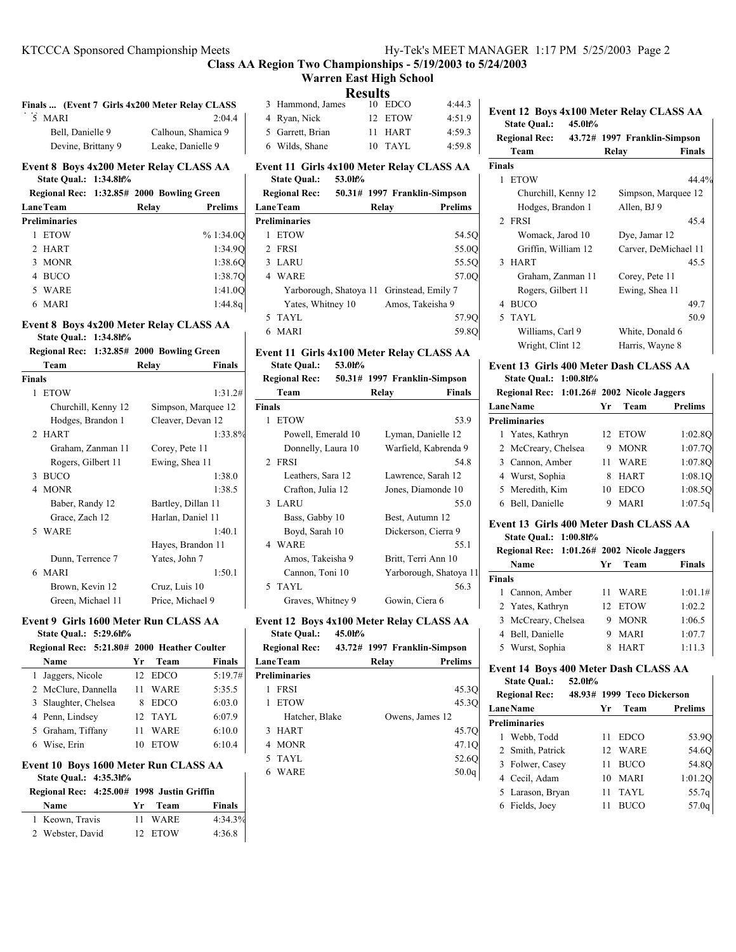**Class AA Region Two Championships - 5/19/2003 to 5/24/2003 Warren East High School**

**Results**

|  | .                |  |           |        |  |  |
|--|------------------|--|-----------|--------|--|--|
|  | 3 Hammond, James |  | $10$ EDCO | 4:44.3 |  |  |
|  | 4 Ryan, Nick     |  | 12 ETOW   | 4:51.9 |  |  |
|  | 5 Garrett, Brian |  | 11 HART   | 4:59.3 |  |  |
|  | 6 Wilds, Shane   |  | $10$ TAYL | 4:59.8 |  |  |

**Event 11 Girls 4x100 Meter Relay CLASS AA**

**State Qual.: 53.0h%**

| <b>Regional Rec:</b> |                      |       | 50.31# 1997 Franklin-Simpson              |                |
|----------------------|----------------------|-------|-------------------------------------------|----------------|
| <b>LaneTeam</b>      |                      | Relav |                                           | <b>Prelims</b> |
|                      | <b>Preliminaries</b> |       |                                           |                |
|                      | <b>ETOW</b>          |       |                                           | 54.5Q          |
|                      | 2 FRSI               |       |                                           | 55.0O          |
|                      | 3 LARU               |       |                                           | 55.5Q          |
|                      | 4 WARE               |       |                                           | 57.0O          |
|                      |                      |       | Yarborough, Shatoya 11 Grinstead, Emily 7 |                |
|                      | Yates, Whitney 10    |       | Amos, Takeisha 9                          |                |
|                      | 5 TAYL               |       |                                           | 57.90          |
|                      | MARI                 |       |                                           |                |

# **Event 11 Girls 4x100 Meter Relay CLASS AA**

| <b>State Oual.:</b> | 53.0h% |
|---------------------|--------|
|---------------------|--------|

|                    |       | Regional Rec: 50.31# 1997 Franklin-Simpson |
|--------------------|-------|--------------------------------------------|
| Team               | Relav | <b>Finals</b>                              |
| <b>Finals</b>      |       |                                            |
| <b>ETOW</b><br>1   |       | 53.9                                       |
| Powell, Emerald 10 |       | Lyman, Danielle 12                         |
| Donnelly, Laura 10 |       | Warfield, Kabrenda 9                       |
| 2 FRSI             |       | 54.8                                       |
| Leathers, Sara 12  |       | Lawrence, Sarah 12                         |
| Crafton, Julia 12  |       | Jones, Diamonde 10                         |
| 3 LARU             |       | 55.0                                       |
| Bass, Gabby 10     |       | Best, Autumn 12                            |
| Boyd, Sarah 10     |       | Dickerson, Cierra 9                        |
| 4 WARE             |       | 55.1                                       |
| Amos, Takeisha 9   |       | Britt, Terri Ann 10                        |
| Cannon, Toni 10    |       | Yarborough, Shatoya 11                     |
| 5 TAYL             |       | 56.3                                       |
| Graves, Whitney 9  |       | Gowin, Ciera 6                             |

# **Event 12 Boys 4x100 Meter Relay CLASS AA**

| <b>State Qual.:</b>  | 45.0h% |                              |                 |                   |
|----------------------|--------|------------------------------|-----------------|-------------------|
| <b>Regional Rec:</b> |        | 43.72# 1997 Franklin-Simpson |                 |                   |
| <b>LaneTeam</b>      |        | Relav                        |                 | <b>Prelims</b>    |
| <b>Preliminaries</b> |        |                              |                 |                   |
| <b>FRSI</b>          |        |                              |                 | 45.3Q             |
| <b>ETOW</b>          |        |                              |                 | 45.3Q             |
| Hatcher, Blake       |        |                              | Owens, James 12 |                   |
| 3 HART               |        |                              |                 | 45.7Q             |
| 4 MONR               |        |                              |                 | 47.1O             |
| 5 TAYL               |        |                              |                 | 52.60             |
| 6 WARE               |        |                              |                 | 50.0 <sub>q</sub> |
|                      |        |                              |                 |                   |

#### **Event 12 Boys 4x100 Meter Relay CLASS AA State Qual.: 45.0h%**

|        | state Qual.:         | 45.VN% |       |                              |               |
|--------|----------------------|--------|-------|------------------------------|---------------|
|        | <b>Regional Rec:</b> |        |       | 43.72# 1997 Franklin-Simpson |               |
|        | Team                 |        | Relay |                              | <b>Finals</b> |
| Finals |                      |        |       |                              |               |
| 1      | <b>ETOW</b>          |        |       |                              | 44.4%         |
|        | Churchill, Kenny 12  |        |       | Simpson, Marquee 12          |               |
|        | Hodges, Brandon 1    |        |       | Allen, BJ 9                  |               |
|        | 2 FRSI               |        |       |                              | 45.4          |
|        | Womack, Jarod 10     |        |       | Dye, Jamar 12                |               |
|        | Griffin, William 12  |        |       | Carver, DeMichael 11         |               |
|        | 3 HART               |        |       |                              | 45.5          |
|        | Graham, Zanman 11    |        |       | Corey, Pete 11               |               |
|        | Rogers, Gilbert 11   |        |       | Ewing, Shea 11               |               |
|        | 4 BUCO               |        |       |                              | 49.7          |
|        | 5 TAYL               |        |       |                              | 50.9          |
|        | Williams, Carl 9     |        |       | White, Donald 6              |               |
|        | Wright, Clint 12     |        |       | Harris, Wayne 8              |               |

## **Event 13 Girls 400 Meter Dash CLASS AA**

| Regional Rec: 1:01.26# 2002 Nicole Jaggers |    |             |                |
|--------------------------------------------|----|-------------|----------------|
| <b>LaneName</b>                            | Yr | <b>Team</b> | <b>Prelims</b> |
| <b>Preliminaries</b>                       |    |             |                |
| 1 Yates, Kathryn                           |    | 12 ETOW     | 1:02.80        |
| 2 McCreary, Chelsea                        | 9  | <b>MONR</b> | 1:07.70        |
| 3 Cannon, Amber                            |    | WARE        | 1:07.8Q        |
| 4 Wurst, Sophia                            |    | <b>HART</b> | 1:08.1O        |
| 5 Meredith, Kim                            |    | <b>EDCO</b> | 1:08.50        |
| 6 Bell, Danielle                           |    | MARI        |                |

#### **Event 13 Girls 400 Meter Dash CLASS AA State Qual.: 1:00.8h%**

|        | Regional Rec: 1:01.26# 2002 Nicole Jaggers |    |             |               |
|--------|--------------------------------------------|----|-------------|---------------|
|        | Name                                       | Уr | Team        | <b>Finals</b> |
| Finals |                                            |    |             |               |
|        | 1 Cannon, Amber                            | 11 | WARE        | 1:01.1#       |
|        | 2 Yates, Kathryn                           |    | 12 ETOW     | 1:02.2        |
|        | 3 McCreary, Chelsea                        | 9  | <b>MONR</b> | 1:06.5        |
|        | 4 Bell, Danielle                           | 9  | <b>MARI</b> | 1:07.7        |
|        | 5 Wurst, Sophia                            |    | <b>HART</b> | 1:11.3        |

 $\mathsf{l}$ 

# **Event 14 Boys 400 Meter Dash CLASS AA**

| ________________<br><b>State Qual.:</b> | 52.0h% |    | 1.1                        |                   |
|-----------------------------------------|--------|----|----------------------------|-------------------|
| <b>Regional Rec:</b>                    |        |    | 48.93# 1999 Teco Dickerson |                   |
| <b>LaneName</b>                         |        | Yr | Team                       | <b>Prelims</b>    |
| <b>Preliminaries</b>                    |        |    |                            |                   |
| 1 Webb, Todd                            |        | 11 | <b>EDCO</b>                | 53.90             |
| 2 Smith, Patrick                        |        |    | 12 WARE                    | 54.60             |
| 3 Folwer, Casey                         |        | 11 | <b>BUCO</b>                | 54.8O             |
| 4 Cecil, Adam                           |        | 10 | MARI                       | 1:01.20           |
| 5 Larason, Bryan                        |        | 11 | TAYL                       | 55.7 <sub>q</sub> |
| Fields, Joey<br>6                       |        | 11 | <b>BUCO</b>                | 57.0c             |

# **Finals ... (Event 7 Girls 4x200 Meter Relay CLASS AA)**5 2:04.4 MARI Bell, Danielle 9 Calhoun, Shamica 9 Devine, Brittany 9 Leake, Danielle 9 **Event 8 Boys 4x200 Meter Relay CLASS AA State Qual.: 1:34.8h% Regional Rec: 1:32.85# 2000 Bowling Green**

| <b>Prelims</b> |
|----------------|
|                |
| %1:34.0O       |
| 1:34.90        |
| 1:38.6Q        |
| 1:38.7Q        |
| 1:41.0O        |
| 1:44.8q        |
| Relay          |

# **Event 8 Boys 4x200 Meter Relay CLASS AA**

**State Qual.: 1:34.8h%**

|        | Regional Rec: 1:32.85# 2000 Bowling Green |                     |               |
|--------|-------------------------------------------|---------------------|---------------|
|        | Team                                      | Relay               | <b>Finals</b> |
| Finals |                                           |                     |               |
| 1      | <b>ETOW</b>                               |                     | 1:31.2#       |
|        | Churchill, Kenny 12                       | Simpson, Marquee 12 |               |
|        | Hodges, Brandon 1                         | Cleaver, Devan 12   |               |
|        | 2 HART                                    |                     | 1:33.8%       |
|        | Graham, Zanman 11                         | Corey, Pete 11      |               |
|        | Rogers, Gilbert 11                        | Ewing, Shea 11      |               |
|        | 3 BUCO                                    |                     | 1:38.0        |
| 4      | <b>MONR</b>                               |                     | 1:38.5        |
|        | Baber, Randy 12                           | Bartley, Dillan 11  |               |
|        | Grace, Zach 12                            | Harlan, Daniel 11   |               |
|        | 5 WARE                                    |                     | 1:40.1        |
|        |                                           | Hayes, Brandon 11   |               |
|        | Dunn, Terrence 7                          | Yates, John 7       |               |
|        | 6 MARI                                    |                     | 1:50.1        |
|        | Brown, Kevin 12                           | Cruz, Luis 10       |               |
|        | Green, Michael 11                         | Price, Michael 9    |               |

### **Event 9 Girls 1600 Meter Run CLASS AA State Qual.: 5:29.6h%**

**Regional Rec: 5:21.80 2000 # Heather Coulter**

| Regional Rec: 3:41.00# 2000 Heather Counter |     |             |               |
|---------------------------------------------|-----|-------------|---------------|
| Name                                        | Yr. | Team        | <b>Finals</b> |
| 1 Jaggers, Nicole                           |     | 12 EDCO     | 5:19.7#       |
| 2 McClure, Dannella                         | 11  | WARE        | 5:35.5        |
| 3 Slaughter, Chelsea                        | 8   | <b>EDCO</b> | 6:03.0        |
| 4 Penn, Lindsey                             |     | 12 TAYL     | 6:07.9        |
| 5 Graham, Tiffany                           |     | WARE        | 6:10.0        |
| 6 Wise, Erin                                | 10  | <b>ETOW</b> | 6:10.4        |
|                                             |     |             |               |

# **Event 10 Boys 1600 Meter Run CLASS AA**

**State Qual.: 4:35.3h%**

| Regional Rec: 4:25.00# 1998 Justin Griffin |      |         |               |
|--------------------------------------------|------|---------|---------------|
| Name                                       | Yr — | Team    | <b>Finals</b> |
| 1 Keown, Travis                            |      | 11 WARE | $4:34.3\%$    |
| 2 Webster, David                           |      | 12 ETOW | 4:36.8        |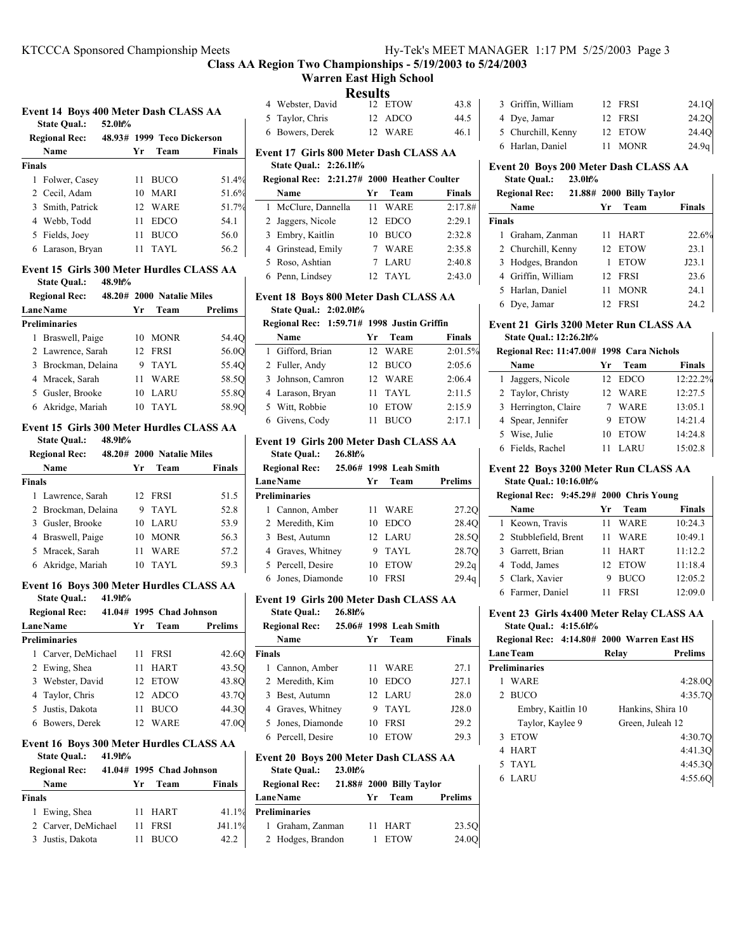**Warren East High School**

### **Results**

|  |  | Event 14 Boys 400 Meter Dash CLASS AA |  |
|--|--|---------------------------------------|--|
|--|--|---------------------------------------|--|

|               | втене на вото что несен вази связоо на г |        |                            |        |  |  |
|---------------|------------------------------------------|--------|----------------------------|--------|--|--|
|               | <b>State Qual.:</b>                      | 52.0h% |                            |        |  |  |
|               | <b>Regional Rec:</b>                     |        | 48.93# 1999 Teco Dickerson |        |  |  |
|               | Name                                     | Yr     | Team                       | Finals |  |  |
| <b>Finals</b> |                                          |        |                            |        |  |  |
|               | 1 Folwer, Casey                          | 11     | BUCO                       | 51.4%  |  |  |
|               | 2 Cecil, Adam                            | 10     | <b>MARI</b>                | 51.6%  |  |  |
|               | 3 Smith, Patrick                         |        | 12 WARE                    | 51.7%  |  |  |
|               | 4 Webb, Todd                             | 11     | <b>EDCO</b>                | 54.1   |  |  |
|               | 5 Fields, Joey                           | 11     | BUCO                       | 56.0   |  |  |
|               | 6 Larason, Brvan                         | 11     | TAYL                       | 56.2   |  |  |

#### **Event 15 Girls 300 Meter Hurdles CLASS AA State Qual.: 48.9h%**

| 48.20# 2000 Natalie Miles |
|---------------------------|
| Prelims                   |
|                           |
| 54.4O                     |
| 56.00                     |
| 55.4Q                     |
|                           |

## **Event 15 Girls 300 Meter Hurdles CLASS AA**

4 Mracek, Sarah 11 WARE 58.5Q 5 Gusler, Brooke 10 LARU 55.8Q 6 58.9Q Akridge, Mariah 10 TAYL

**State Qual.: 48.9h%**

|        | <b>Regional Rec:</b> |    | 48.20# 2000 Natalie Miles |               |
|--------|----------------------|----|---------------------------|---------------|
|        | Name                 | Yr | Team                      | <b>Finals</b> |
| Finals |                      |    |                           |               |
|        | 1 Lawrence, Sarah    |    | 12 FRSI                   | 51.5          |
|        | 2 Brockman, Delaina  | 9  | TAYL                      | 52.8          |
|        | 3 Gusler, Brooke     | 10 | LARU                      | 53.9          |
|        | 4 Braswell, Paige    | 10 | <b>MONR</b>               | 56.3          |
|        | 5 Mracek, Sarah      | 11 | WARE                      | 57.2          |
|        | 6 Akridge, Mariah    | 10 | TAYL                      | 59.3          |

## **Event 16 Boys 300 Meter Hurdles CLASS AA**

| <b>State Qual.:</b> | $41.9h$ %                             |  |  |  |  |
|---------------------|---------------------------------------|--|--|--|--|
| Decisional Dear     | $41.044$ $1005.0$ $C$ $A$ $I_2$ $I_3$ |  |  |  |  |

| Regional Rec:   |                      | $41.04\#$ 1995 Chad Johnson |    |             |                |
|-----------------|----------------------|-----------------------------|----|-------------|----------------|
| <b>LaneName</b> |                      |                             | Yr | Team        | <b>Prelims</b> |
|                 | <b>Preliminaries</b> |                             |    |             |                |
|                 | 1 Carver, DeMichael  |                             | 11 | <b>FRSI</b> | 42.6Q          |
|                 | 2 Ewing, Shea        |                             |    | <b>HART</b> | 43.5O          |
|                 | 3 Webster, David     |                             |    | 12 ETOW     | 43.8O          |
|                 | 4 Taylor, Chris      |                             |    | 12 ADCO     | 43.7Q          |
|                 | 5 Justis, Dakota     |                             |    | <b>BUCO</b> | 44.3O          |
|                 | 6 Bowers, Derek      |                             |    | <b>WARE</b> |                |

## **Event 16 Boys 300 Meter Hurdles CLASS AA**

| <b>State Qual.:</b> | 41.9h% |  |
|---------------------|--------|--|
|                     |        |  |

| <b>Regional Rec:</b> |    | 41.04# 1995 Chad Johnson |               |
|----------------------|----|--------------------------|---------------|
| Name                 | Yг | Team                     | <b>Finals</b> |
| <b>Finals</b>        |    |                          |               |
| 1 Ewing, Shea        |    | 11 HART                  | 41.1%         |
| 2 Carver, DeMichael  |    | 11 FRSI                  | J41.1%        |
| 3 Justis, Dakota     | 11 | <b>BUCO</b>              | 42.2          |

|                  | тозино |         |      |
|------------------|--------|---------|------|
| 4 Webster, David |        | 12 ETOW | 43.8 |
| 5 Taylor, Chris  |        | 12 ADCO | 44.5 |
| 6 Bowers, Derek  |        | 12 WARE | 46.1 |
|                  |        |         |      |

## **Event 17 Girls 800 Meter Dash CLASS AA State Qual.: 2:26.1h%**

## **Regional Rec: 2:21.27# 2000 Heather Coulter**

| Name                | Team<br>Уr           | <b>Finals</b> |
|---------------------|----------------------|---------------|
| 1 McClure, Dannella | WARE                 | 2:17.8#       |
| 2 Jaggers, Nicole   | 12 EDCO              | 2:29.1        |
| 3 Embry, Kaitlin    | <b>BUCO</b><br>10    | 2:32.8        |
| 4 Grinstead, Emily  | 7 WARE               | 2:35.8        |
| 5 Roso, Ashtian     | LARU                 | 2:40.8        |
| 6 Penn, Lindsey     | TAYL<br>$12^{\circ}$ | 2:43.0        |

## **Event 18 Boys 800 Meter Dash CLASS AA State Qual.: 2:02.0h%**

## **Regional Rec: 1:59.71# 1998 Justin Griffin**

| Name              | Team<br>Yг        | <b>Finals</b> |
|-------------------|-------------------|---------------|
| 1 Gifford, Brian  | 12 WARE           | 2:01.5%       |
| 2 Fuller, Andy    | 12 BUCO           | 2:05.6        |
| 3 Johnson, Camron | 12 WARE           | 2:06.4        |
| 4 Larason, Bryan  | 11 TAYL           | 2:11.5        |
| 5 Witt, Robbie    | <b>ETOW</b><br>10 | 2:15.9        |
| 6 Givens, Cody    | <b>BUCO</b>       | 2:17.1        |

#### **Event 19 Girls 200 Meter Dash CLASS AA State Qual.: 26.8h%**

| <b>Regional Rec:</b> |    | 25.06# 1998 Leah Smith |                   |
|----------------------|----|------------------------|-------------------|
| <b>LaneName</b>      | Уr | Team                   | Prelims           |
| <b>Preliminaries</b> |    |                        |                   |
| 1 Cannon, Amber      | 11 | WARE                   | 27.2Q             |
| 2 Meredith, Kim      | 10 | EDCO                   | 28.4Q             |
| 3 Best, Autumn       |    | 12 LARU                | 28.5 <sub>O</sub> |
| 4 Graves, Whitney    | 9  | TAYL                   | 28.7Q             |
| 5 Percell, Desire    | 10 | <b>ETOW</b>            | 29.2q             |
| 6 Jones, Diamonde    | 10 | <b>FRSI</b>            | 29.4q             |
|                      |    |                        |                   |

#### **Event 19 Girls 200 Meter Dash CLASS AA State Qual.: 26.8h%**

|               | <b>Regional Rec:</b> |    | 25.06# 1998 Leah Smith |               |
|---------------|----------------------|----|------------------------|---------------|
|               | Name                 | Уr | Team                   | <b>Finals</b> |
| <b>Finals</b> |                      |    |                        |               |
|               | 1 Cannon, Amber      | 11 | WARE                   | 27.1          |
|               | 2 Meredith, Kim      |    | 10 EDCO                | J27.1         |
|               | 3 Best, Autumn       |    | 12 LARU                | 28.0          |
|               | 4 Graves, Whitney    |    | 9 TAYL                 | J28.0         |
|               | 5 Jones, Diamonde    | 10 | <b>FRSI</b>            | 29.2          |
|               | 6 Percell, Desire    |    | 10 ETOW                | 29.3          |
|               |                      |    |                        |               |

### **Event 20 Boys 200 Meter Dash CLASS AA**

| <b>State Qual.:</b><br><b>Regional Rec:</b> | $23.0h$ % |    | 21.88# 2000 Billy Taylor |                   |
|---------------------------------------------|-----------|----|--------------------------|-------------------|
| <b>LaneName</b>                             |           | Yr | Team                     | <b>Prelims</b>    |
| <b>Preliminaries</b>                        |           |    |                          |                   |
| 1 Graham, Zanman                            |           |    | 11 HART                  | 23.5 <sub>O</sub> |
| 2 Hodges, Brandon                           |           |    | <b>ETOW</b>              | 24.0O             |
|                                             |           |    |                          |                   |

| 3 Griffin, William | 12 FRSI | 24.1Q |
|--------------------|---------|-------|
| 4 Dye, Jamar       | 12 FRSI | 24.2Q |
| 5 Churchill, Kenny | 12 ETOW | 24.4Q |
| 6 Harlan, Daniel   | 11 MONR | 24.9q |

 $\mathbf{I}$ 

#### **Event 20 Boys 200 Meter Dash CLASS AA State Qual.: 23.0h%**

|               |                      | ------ |    |                          |        |
|---------------|----------------------|--------|----|--------------------------|--------|
|               | <b>Regional Rec:</b> |        |    | 21.88# 2000 Billy Taylor |        |
|               | Name                 |        | Yr | Team                     | Finals |
| <b>Finals</b> |                      |        |    |                          |        |
| 1             | Graham, Zanman       |        |    | 11 HART                  | 22.6%  |
|               | 2 Churchill, Kenny   |        |    | 12 ETOW                  | 23.1   |
|               | 3 Hodges, Brandon    |        |    | <b>ETOW</b>              | J23.1  |
|               | 4 Griffin, William   |        |    | 12 FRSI                  | 23.6   |
|               | 5 Harlan, Daniel     |        |    | <b>MONR</b>              | 24.1   |
|               | 6 Dye, Jamar         |        |    | FRSI                     | 24.2   |

### **Event 21 Girls 3200 Meter Run CLASS AA State Qual.: 12:26.2h%**

| Regional Rec: 11:47.00# 1998 Cara Nichols |  |  |
|-------------------------------------------|--|--|

| Name                 | Уr | Team        | <b>Finals</b> |
|----------------------|----|-------------|---------------|
| 1 Jaggers, Nicole    |    | 12 EDCO     | 12:22.2%      |
| 2 Taylor, Christy    | 12 | WARE        | 12:27.5       |
| 3 Herrington, Claire |    | <b>WARE</b> | 13:05.1       |
| 4 Spear, Jennifer    |    | <b>ETOW</b> | 14:21.4       |
| 5 Wise, Julie        | 10 | <b>ETOW</b> | 14:24.8       |
| 6 Fields, Rachel     |    | LARU        | 15:02.8       |

#### **Event 22 Boys 3200 Meter Run CLASS AA State Qual.: 10:16.0h%**

| ыние Опан. 10.10.011/0                  |     |             |               |  |  |
|-----------------------------------------|-----|-------------|---------------|--|--|
| Regional Rec: 9:45.29# 2000 Chris Young |     |             |               |  |  |
| Name                                    | Yr. | Team        | <b>Finals</b> |  |  |
| 1 Keown, Travis                         | 11  | WARE        | 10:24.3       |  |  |
| 2 Stubblefield, Brent                   | 11  | WARE        | 10:49.1       |  |  |
| 3 Garrett, Brian                        | 11  | <b>HART</b> | 11:12.2       |  |  |
| 4 Todd, James                           |     | 12 ETOW     | 11:18.4       |  |  |
| 5 Clark, Xavier                         | 9   | <b>BUCO</b> | 12:05.2       |  |  |
| 6 Farmer, Daniel                        |     | <b>FRSI</b> | 12:09.0       |  |  |

### **Event 23 Girls 4x400 Meter Relay CLASS AA State Qual.: 4:15.6h%**

| Regional Rec: 4:14.80# 2000 Warren East HS |       |                   |                |
|--------------------------------------------|-------|-------------------|----------------|
| Lane Team                                  | Relay |                   | <b>Prelims</b> |
| Preliminaries                              |       |                   |                |
| WARE                                       |       |                   | 4:28.0Q        |
| 2 BUCO                                     |       |                   | 4:35.70        |
| Embry, Kaitlin 10                          |       | Hankins, Shira 10 |                |
| Taylor, Kaylee 9                           |       | Green, Juleah 12  |                |
| 3 ETOW                                     |       |                   | 4:30.70        |
| 4 HART                                     |       |                   | 4:41.3O        |
| 5 TAYL                                     |       |                   | 4:45.3O        |
| LARU                                       |       |                   | 4:55.6         |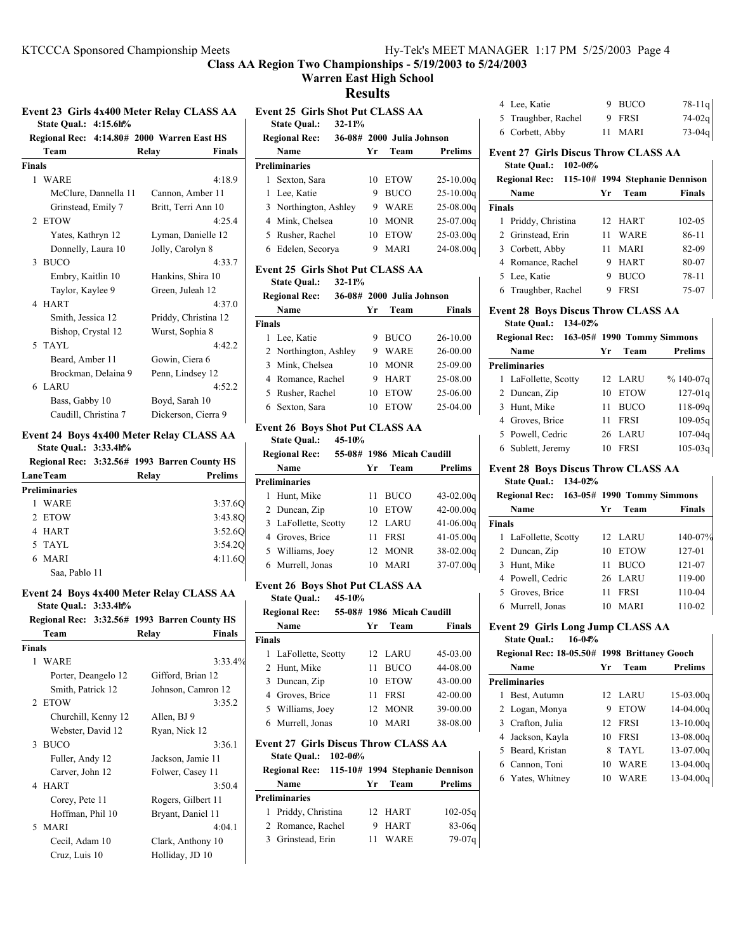## **Warren East High School**

**Results**

|                              | Event 23 Girls 4x400 Meter Relay CLASS AA |  |  |
|------------------------------|-------------------------------------------|--|--|
| <b>State Qual.: 4:15.6h%</b> |                                           |  |  |

|        | Regional Rec: 4:14.80# 2000 Warren East HS |                        |
|--------|--------------------------------------------|------------------------|
|        | Team                                       | <b>Finals</b><br>Relay |
| Finals |                                            |                        |
|        | 1 WARE                                     | 4:18.9                 |
|        | McClure, Dannella 11                       | Cannon, Amber 11       |
|        | Grinstead, Emily 7                         | Britt, Terri Ann 10    |
|        | 2 ETOW                                     | 4:25.4                 |
|        | Yates, Kathryn 12                          | Lyman, Danielle 12     |
|        | Donnelly, Laura 10                         | Jolly, Carolyn 8       |
|        | 3 BUCO                                     | 4:33.7                 |
|        | Embry, Kaitlin 10                          | Hankins, Shira 10      |
|        | Taylor, Kaylee 9                           | Green, Juleah 12       |
|        | 4 HART                                     | 4:37.0                 |
|        | Smith, Jessica 12                          | Priddy, Christina 12   |
|        | Bishop, Crystal 12                         | Wurst, Sophia 8        |
|        | 5 TAYL                                     | 4:42.2                 |
|        | Beard, Amber 11                            | Gowin, Ciera 6         |
|        | Brockman, Delaina 9                        | Penn, Lindsey 12       |
|        | 6 LARU                                     | 4:52.2                 |
|        | Bass, Gabby 10                             | Boyd, Sarah 10         |
|        | Caudill, Christina 7                       | Dickerson, Cierra 9    |

#### **Event 24 Boys 4x400 Meter Relay CLASS AA State Qual.: 3:33.4h%**

|                      |       | Regional Rec: 3:32.56# 1993 Barren County HS |  |  |  |
|----------------------|-------|----------------------------------------------|--|--|--|
| <b>LaneTeam</b>      | Relay | <b>Prelims</b>                               |  |  |  |
| <b>Preliminaries</b> |       |                                              |  |  |  |
| WARE                 |       | 3:37.6Q                                      |  |  |  |
| 2 ETOW               |       | 3:43.8O                                      |  |  |  |
| 4 HART               |       | 3:52.60                                      |  |  |  |
| 5 TAYL               |       | 3:54.20                                      |  |  |  |
| <b>MARI</b>          |       | 4:11.6Q                                      |  |  |  |
| Saa, Pablo 11        |       |                                              |  |  |  |

#### **Event 24 Boys 4x400 Meter Relay CLASS AA State Qual.: 3:33.4h%**

|              |       | Regional Rec: 3:32.56# 1993 Barren County HS |
|--------------|-------|----------------------------------------------|
| Team         | Relay | <b>Finals</b>                                |
| $\mathbf{r}$ |       |                                              |

| Finals |                     |                    |
|--------|---------------------|--------------------|
|        | 1 WARE              | 3:33.4%            |
|        | Porter, Deangelo 12 | Gifford, Brian 12  |
|        | Smith, Patrick 12   | Johnson, Camron 12 |
|        | 2 ETOW              | 3:35.2             |
|        | Churchill, Kenny 12 | Allen, BJ 9        |
|        | Webster, David 12   | Ryan, Nick 12      |
|        | 3 BUCO              | 3:36.1             |
|        | Fuller, Andy 12     | Jackson, Jamie 11  |
|        | Carver, John 12     | Folwer, Casey 11   |
|        | 4 HART              | 3:50.4             |
|        | Corey, Pete 11      | Rogers, Gilbert 11 |
|        | Hoffman, Phil 10    | Bryant, Daniel 11  |
|        | 5 MARI              | 4:04.1             |
|        | Cecil, Adam 10      | Clark, Anthony 10  |
|        | Cruz, Luis 10       | Holliday, JD 10    |
|        |                     |                    |

## **Event 25 Girls Shot Put CLASS AA State Qual.: 32-11% Regional Rec:** 36-08# 2000 Julia Johnson **Name Yr Team Prelims Preliminaries** 1 Sexton, Sara 10 ETOW 25-10.00q 1 Lee, Katie 9 BUCO 25-10.00q 3 Northington, Ashley 9 WARE 25-08.00q 4 25-07.00q Mink, Chelsea 10 MONR 5 Rusher, Rachel 10 ETOW 25-03.00q 6 24-08.00q Edelen, Secorya 9 MARI

#### **Event 25 Girls Shot Put CLASS AA**

**State Qual.: 32-11%**

|               | <b>Regional Rec:</b>  | 36-08# 2000 Julia Johnson |             |               |  |
|---------------|-----------------------|---------------------------|-------------|---------------|--|
|               | Name                  | Уr                        | Team        | <b>Finals</b> |  |
| <b>Finals</b> |                       |                           |             |               |  |
|               | 1 Lee, Katie          | 9                         | <b>BUCO</b> | 26-10.00      |  |
|               | 2 Northington, Ashley | 9                         | <b>WARE</b> | $26 - 00.00$  |  |
|               | 3 Mink, Chelsea       | 10                        | <b>MONR</b> | 25-09.00      |  |
|               | 4 Romance, Rachel     | 9                         | <b>HART</b> | 25-08.00      |  |
|               | 5 Rusher, Rachel      | 10                        | <b>ETOW</b> | 25-06.00      |  |
|               | Sexton, Sara          | 10                        | <b>ETOW</b> | 25-04.00      |  |

#### **Event 26 Boys Shot Put CLASS AA**

**State Qual.: 45-10%**

| <b>Regional Rec:</b> |                      | 55-08# 1986 Micah Caudill |             |               |  |
|----------------------|----------------------|---------------------------|-------------|---------------|--|
|                      | Name                 | Yr                        | Team        | Prelims       |  |
|                      | <b>Preliminaries</b> |                           |             |               |  |
|                      | Hunt, Mike           | 11                        | <b>BUCO</b> | $43 - 02.00q$ |  |
|                      | 2 Duncan, Zip        | 10                        | <b>ETOW</b> | $42 - 00.00q$ |  |
|                      | 3 LaFollette, Scotty |                           | 12 LARU     | $41 - 06.00q$ |  |
|                      | 4 Groves, Brice      | 11                        | <b>FRSI</b> | $41 - 05.00q$ |  |
|                      | 5 Williams, Joey     |                           | 12 MONR     | 38-02.00g     |  |
|                      | 6 Murrell, Jonas     | 10                        | MARI        | 37-07.00g     |  |

## **Event 26 Boys Shot Put CLASS AA**

**State Qual.: 45-10%**

|                                                                                   | <b>Regional Rec:</b> |    | 55-08# 1986 Micah Caudill |               |  |
|-----------------------------------------------------------------------------------|----------------------|----|---------------------------|---------------|--|
|                                                                                   | Name                 | Уr | Team                      | <b>Finals</b> |  |
| <b>Finals</b>                                                                     |                      |    |                           |               |  |
|                                                                                   | 1 LaFollette, Scotty |    | 12 LARU                   | 45-03.00      |  |
|                                                                                   | 2 Hunt, Mike         | 11 | <b>BUCO</b>               | 44-08.00      |  |
|                                                                                   | 3 Duncan, Zip        | 10 | <b>ETOW</b>               | 43-00.00      |  |
|                                                                                   | 4 Groves, Brice      | 11 | <b>FRSI</b>               | $42 - 00.00$  |  |
|                                                                                   | 5 Williams, Joey     |    | 12 MONR                   | 39-00.00      |  |
|                                                                                   | 6 Murrell, Jonas     | 10 | MARI                      | 38-08.00      |  |
| <b>Event 27 Girls Discus Throw CLASS AA</b><br><b>State Qual.:</b><br>$102 - 06%$ |                      |    |                           |               |  |

| Regional Rec: 115-10# 1994 Stephanie Dennison |  |         |             |
|-----------------------------------------------|--|---------|-------------|
| Name                                          |  | Yr Team | Prelims     |
| Preliminaries                                 |  |         |             |
| 1 Priddy, Christina                           |  | 12 HART | $102 - 05q$ |

2 Romance, Rachel 9 HART 83-06q 3 Grinstead, Erin 11 WARE 79-07q

| Event 27  Girls Discus Throw CLASS AA<br>$\alpha$ $\alpha$ $\alpha$ $\alpha$ |         |          |
|------------------------------------------------------------------------------|---------|----------|
| 6 Corbett, Abby                                                              | 11 MARI | $73-04q$ |
| 5 Traughber, Rachel                                                          | 9 FRSI  | $74-02q$ |
|                                                                              |         |          |

4 Lee, Katie 9 BUCO 78-11q

## **State Qual.: 102-06%**

|        | Regional Rec: 115-10# 1994 Stephanie Dennison |    |             |               |
|--------|-----------------------------------------------|----|-------------|---------------|
|        | Name                                          | Уr | Team        | <b>Finals</b> |
| Finals |                                               |    |             |               |
|        | 1 Priddy, Christina                           |    | 12 HART     | $102 - 0.5$   |
|        | 2 Grinstead, Erin                             | 11 | WARE        | 86-11         |
|        | 3 Corbett, Abby                               | 11 | MARI        | 82-09         |
|        | 4 Romance, Rachel                             | 9  | <b>HART</b> | 80-07         |
|        | 5 Lee, Katie                                  | 9  | <b>BUCO</b> | 78-11         |
|        | 6 Traughber, Rachel                           | 9  | <b>FRSI</b> | 75-07         |

# **Event 28 Boys Discus Throw CLASS AA**

# **State Qual.: 134-02%**

| <b>Regional Rec:</b> |    |             | 163-05# 1990 Tommy Simmons |
|----------------------|----|-------------|----------------------------|
| Name                 | Уr | Team        | Prelims                    |
| Preliminaries        |    |             |                            |
| 1 LaFollette, Scotty |    | 12 LARU     | $%140-07q$                 |
| 2 Duncan, Zip        | 10 | <b>ETOW</b> | $127 - 01q$                |
| 3 Hunt, Mike         | 11 | <b>BUCO</b> | $118 - 09q$                |
| 4 Groves, Brice      | 11 | <b>FRSI</b> | $109 - 05q$                |
| 5 Powell, Cedric     |    | 26 LARU     | $107 - 04q$                |
| 6 Sublett, Jeremy    | 10 | <b>FRSI</b> | $105 - 03q$                |
|                      |    |             |                            |

# **Event 28 Boys Discus Throw CLASS AA**

## **State Qual.: 134-02%**

|               | Regional Rec: 163-05# 1990 Tommy Simmons |    |             |         |
|---------------|------------------------------------------|----|-------------|---------|
|               | Name                                     | Уr | Team        | Finals  |
| <b>Finals</b> |                                          |    |             |         |
|               | 1 LaFollette, Scotty                     |    | 12 LARU     | 140-07% |
|               | 2 Duncan, Zip                            | 10 | <b>ETOW</b> | 127-01  |
|               | 3 Hunt, Mike                             | 11 | <b>BUCO</b> | 121-07  |
|               | 4 Powell, Cedric                         |    | 26 LARU     | 119-00  |
|               | 5 Groves, Brice                          | 11 | <b>FRSI</b> | 110-04  |
|               | 6 Murrell, Jonas                         | 10 | MARI        | 110-02  |

# **Event 29 Girls Long Jump CLASS AA**

## **State Qual.: 16-04%**

| Regional Rec: 18-05.50# 1998 Brittaney Gooch |    |             |               |
|----------------------------------------------|----|-------------|---------------|
| Name                                         | Уr | Team        | Prelims       |
| Preliminaries                                |    |             |               |
| 1 Best, Autumn                               |    | 12 LARU     | $15-03.00q$   |
| 2 Logan, Monya                               | 9  | <b>ETOW</b> | $14-04.00q$   |
| 3 Crafton, Julia                             | 12 | FRSI        | $13 - 10.00q$ |
| 4 Jackson, Kayla                             | 10 | <b>FRSI</b> | $13-08.00q$   |
| 5 Beard, Kristan                             | 8  | TAYL        | $13-07.00q$   |
| 6 Cannon, Toni                               | 10 | WARE        | $13-04.00q$   |
| 6 Yates, Whitney                             | 10 | WARE        | $13-04.00q$   |
|                                              |    |             |               |

 $\overline{\phantom{a}}$